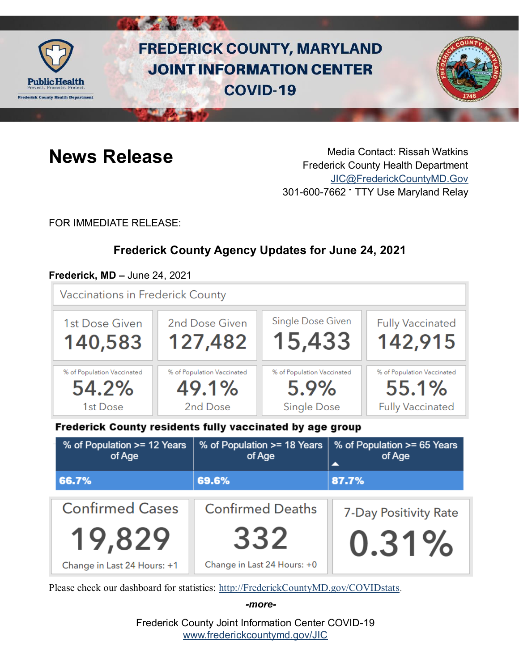

# **FREDERICK COUNTY, MARYLAND JOINT INFORMATION CENTER COVID-19**



**News Release** Media Contact: Rissah Watkins Frederick County Health Department [JIC@FrederickCountyMD.Gov](mailto:JIC@FrederickCountyMD.Gov) 301-600-7662 • TTY Use Maryland Relay

FOR IMMEDIATE RELEASE:

# **Frederick County Agency Updates for June 24, 2021**

### **Frederick, MD –** June 24, 2021

Vaccinations in Frederick County



Frederick County residents fully vaccinated by age group

| % of Population >= 12 Years<br>of Age | % of Population >= 18 Years<br>of Age                   | % of Population >= 65 Years<br>of Age |
|---------------------------------------|---------------------------------------------------------|---------------------------------------|
| 66.7%                                 | 69.6%                                                   | 87.7%                                 |
| <b>Confirmed Cases</b>                | <b>Confirmed Deaths</b><br><b>7-Day Positivity Rate</b> |                                       |
| 19,829                                | 332                                                     | $0.31\%$                              |
| Change in Last 24 Hours: +1           | Change in Last 24 Hours: +0                             |                                       |

Please check our dashboard for statistics: [http://FrederickCountyMD.gov/COVIDstats.](http://frederickcountymd.gov/COVIDstats)

*-more-*

Frederick County Joint Information Center COVID-19 [www.frederickcountymd.gov/JIC](https://frederickcountymd.gov/JIC)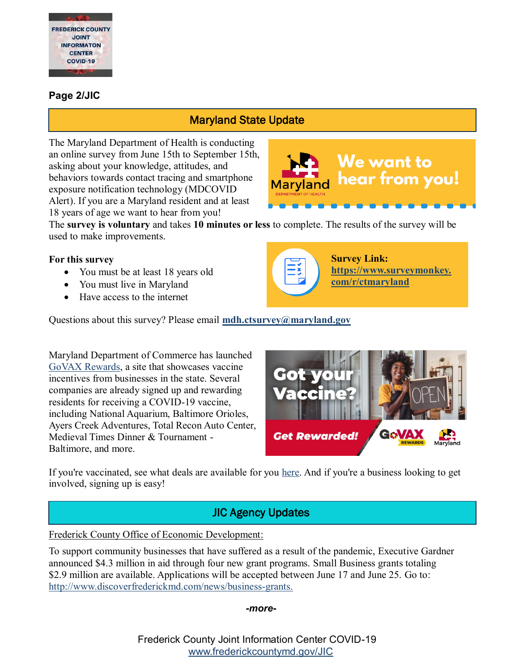

#### **Page 2/JIC**

# Maryland State Update

The Maryland Department of Health is conducting an online survey from June 15th to September 15th, asking about your knowledge, attitudes, and behaviors towards contact tracing and smartphone exposure notification technology (MDCOVID Alert). If you are a Maryland resident and at least 18 years of age we want to hear from you!



The **survey is voluntary** and takes **10 minutes or less** to complete. The results of the survey will be used to make improvements.

#### **For this survey**

- You must be at least 18 years old
- You must live in Maryland
- Have access to the internet

Questions about this survey? Please email **[mdh.ctsurvey@maryland.gov](mailto:mdh.ctsurvey@maryland.gov)**

Maryland Department of Commerce has launched [GoVAX Rewards,](https://open.maryland.gov/blog/new-rewards-program-showcases-vaccine-incentives-maryland-businesses) a site that showcases vaccine incentives from businesses in the state. Several companies are already signed up and rewarding residents for receiving a COVID-19 vaccine, including National Aquarium, Baltimore Orioles, Ayers Creek Adventures, Total Recon Auto Center, Medieval Times Dinner & Tournament - Baltimore, and more.



**Survey Link:**

**[com/r/ctmaryland](https://www.surveymonkey.com/r/ctmaryland)**

**[https://www.surveymonkey.](https://www.surveymonkey.com/r/ctmaryland)**

If you're vaccinated, see what deals are available for you [here.](https://open.maryland.gov/blog/new-rewards-program-showcases-vaccine-incentives-maryland-businesses) And if you're a business looking to get involved, signing up is easy!

# JIC Agency Updates

Frederick County Office of Economic Development:

To support community businesses that have suffered as a result of the pandemic, Executive Gardner announced \$4.3 million in aid through four new grant programs. Small Business grants totaling \$2.9 million are available. Applications will be accepted between June 17 and June 25. Go to: [http://www.discoverfrederickmd.com/news/business-grants.](http://www.discoverfrederickmd.com/news/business-grants)

#### *-more-*

Frederick County Joint Information Center COVID-19 [www.frederickcountymd.gov/JIC](https://frederickcountymd.gov/JIC)